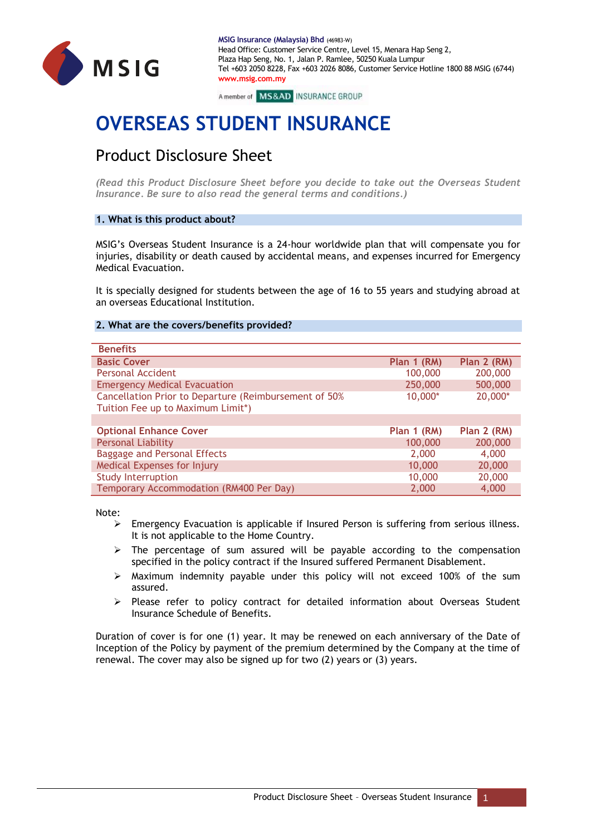

A member of MS&AD INSURANCE GROUP

# **OVERSEAS STUDENT INSURANCE**

# Product Disclosure Sheet

*(Read this Product Disclosure Sheet before you decide to take out the Overseas Student Insurance. Be sure to also read the general terms and conditions.)*

# **1. What is this product about?**

MSIG's Overseas Student Insurance is a 24-hour worldwide plan that will compensate you for injuries, disability or death caused by accidental means, and expenses incurred for Emergency Medical Evacuation.

It is specially designed for students between the age of 16 to 55 years and studying abroad at an overseas Educational Institution.

# **2. What are the covers/benefits provided?**

| <b>Benefits</b>                                                                            |             |             |
|--------------------------------------------------------------------------------------------|-------------|-------------|
| <b>Basic Cover</b>                                                                         | Plan 1 (RM) | Plan 2 (RM) |
| <b>Personal Accident</b>                                                                   | 100,000     | 200,000     |
| <b>Emergency Medical Evacuation</b>                                                        | 250,000     | 500,000     |
| Cancellation Prior to Departure (Reimbursement of 50%<br>Tuition Fee up to Maximum Limit*) | 10,000*     | 20,000*     |
|                                                                                            |             |             |
| <b>Optional Enhance Cover</b>                                                              | Plan 1 (RM) | Plan 2 (RM) |
| <b>Personal Liability</b>                                                                  | 100,000     | 200,000     |
| <b>Baggage and Personal Effects</b>                                                        | 2,000       | 4,000       |
| Medical Expenses for Injury                                                                | 10,000      | 20,000      |
| <b>Study Interruption</b>                                                                  | 10,000      | 20,000      |
| Temporary Accommodation (RM400 Per Day)                                                    | 2,000       | 4,000       |

Note:

- $\triangleright$  Emergency Evacuation is applicable if Insured Person is suffering from serious illness. It is not applicable to the Home Country.
- $\triangleright$  The percentage of sum assured will be payable according to the compensation specified in the policy contract if the Insured suffered Permanent Disablement.
- $\triangleright$  Maximum indemnity payable under this policy will not exceed 100% of the sum assured.
- $\triangleright$  Please refer to policy contract for detailed information about Overseas Student Insurance Schedule of Benefits.

Duration of cover is for one (1) year. It may be renewed on each anniversary of the Date of Inception of the Policy by payment of the premium determined by the Company at the time of renewal. The cover may also be signed up for two (2) years or (3) years.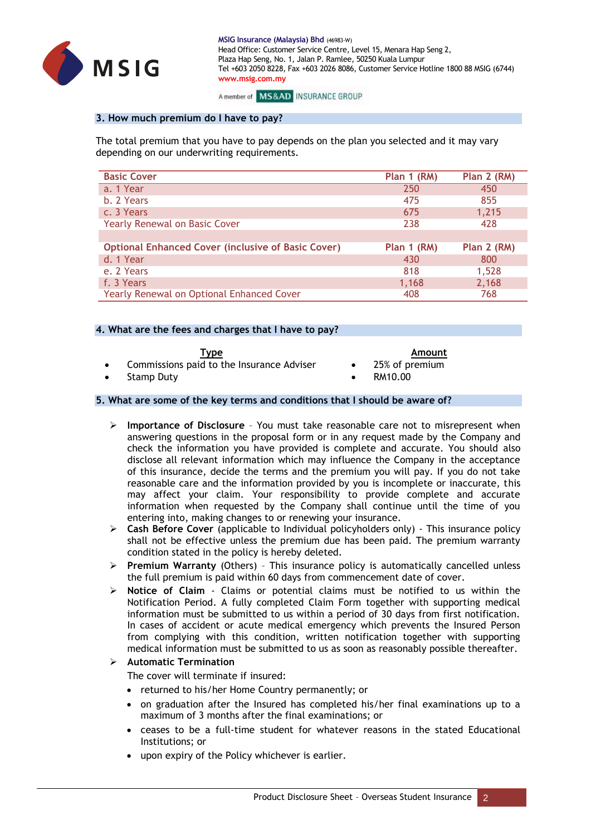

A member of MS&AD INSURANCE GROUP

### **3. How much premium do I have to pay?**

The total premium that you have to pay depends on the plan you selected and it may vary depending on our underwriting requirements.

| <b>Basic Cover</b>                                        | Plan 1 (RM) | Plan 2 (RM) |
|-----------------------------------------------------------|-------------|-------------|
| a. 1 Year                                                 | 250         | 450         |
| b. 2 Years                                                | 475         | 855         |
| c. 3 Years                                                | 675         | 1,215       |
| <b>Yearly Renewal on Basic Cover</b>                      | 238         | 428         |
|                                                           |             |             |
| <b>Optional Enhanced Cover (inclusive of Basic Cover)</b> | Plan 1 (RM) | Plan 2 (RM) |
| d. 1 Year                                                 | 430         | 800         |
| e. 2 Years                                                | 818         | 1,528       |
| f. 3 Years                                                | 1,168       | 2,168       |
| <b>Yearly Renewal on Optional Enhanced Cover</b>          | 408         | 768         |

### **4. What are the fees and charges that I have to pay?**

| I vne |
|-------|
|-------|

**Type Amount**

- Commissions paid to the Insurance Adviser 25% of premium
- 
- Stamp Duty **Contract Contract Contract Contract Contract Contract Contract Contract Contract Contract Contract Contract Contract Contract Contract Contract Contract Contract Contract Contract Contract Contract Contract Con**

# **5. What are some of the key terms and conditions that I should be aware of?**

- **Importance of Disclosure**  You must take reasonable care not to misrepresent when answering questions in the proposal form or in any request made by the Company and check the information you have provided is complete and accurate. You should also disclose all relevant information which may influence the Company in the acceptance of this insurance, decide the terms and the premium you will pay. If you do not take reasonable care and the information provided by you is incomplete or inaccurate, this may affect your claim. Your responsibility to provide complete and accurate information when requested by the Company shall continue until the time of you entering into, making changes to or renewing your insurance.
- **Cash Before Cover** (applicable to Individual policyholders only) This insurance policy shall not be effective unless the premium due has been paid. The premium warranty condition stated in the policy is hereby deleted.
- **Premium Warranty** (Others) This insurance policy is automatically cancelled unless the full premium is paid within 60 days from commencement date of cover.
- **Notice of Claim**  Claims or potential claims must be notified to us within the Notification Period. A fully completed Claim Form together with supporting medical information must be submitted to us within a period of 30 days from first notification. In cases of accident or acute medical emergency which prevents the Insured Person from complying with this condition, written notification together with supporting medical information must be submitted to us as soon as reasonably possible thereafter.

# **Automatic Termination**

The cover will terminate if insured:

- returned to his/her Home Country permanently; or
- on graduation after the Insured has completed his/her final examinations up to a maximum of 3 months after the final examinations; or
- ceases to be a full-time student for whatever reasons in the stated Educational Institutions; or
- upon expiry of the Policy whichever is earlier.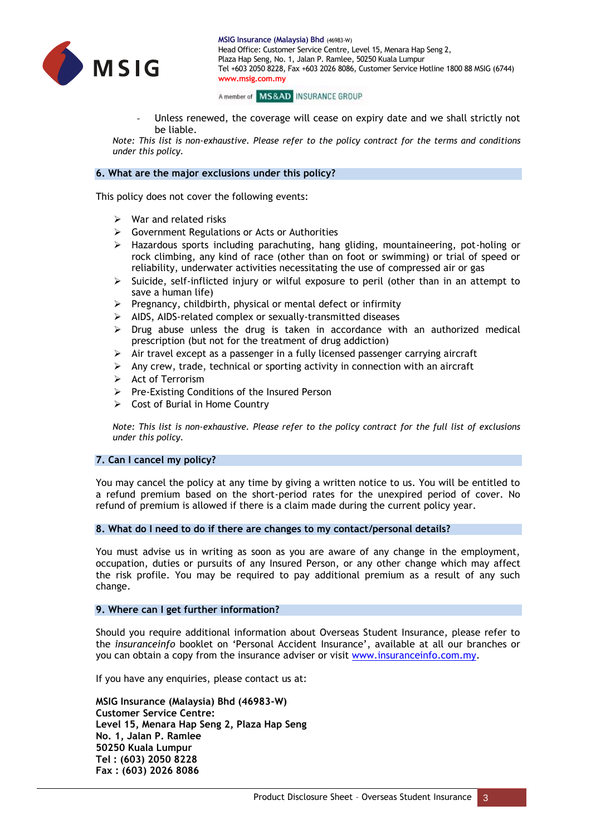

A member of MS&AD INSURANCE GROUP

Unless renewed, the coverage will cease on expiry date and we shall strictly not be liable.

*Note: This list is non-exhaustive. Please refer to the policy contract for the terms and conditions under this policy.*

#### **6. What are the major exclusions under this policy?**

This policy does not cover the following events:

- $\triangleright$  War and related risks
- Government Regulations or Acts or Authorities
- $\triangleright$  Hazardous sports including parachuting, hang gliding, mountaineering, pot-holing or rock climbing, any kind of race (other than on foot or swimming) or trial of speed or reliability, underwater activities necessitating the use of compressed air or gas
- $\triangleright$  Suicide, self-inflicted injury or wilful exposure to peril (other than in an attempt to save a human life)
- $\triangleright$  Pregnancy, childbirth, physical or mental defect or infirmity
- $\triangleright$  AIDS, AIDS-related complex or sexually-transmitted diseases
- $\triangleright$  Drug abuse unless the drug is taken in accordance with an authorized medical prescription (but not for the treatment of drug addiction)
- $\triangleright$  Air travel except as a passenger in a fully licensed passenger carrying aircraft
- $\triangleright$  Any crew, trade, technical or sporting activity in connection with an aircraft
- $\triangleright$  Act of Terrorism
- $\triangleright$  Pre-Existing Conditions of the Insured Person
- $\triangleright$  Cost of Burial in Home Country

*Note: This list is non-exhaustive. Please refer to the policy contract for the full list of exclusions under this policy.*

#### **7. Can I cancel my policy?**

You may cancel the policy at any time by giving a written notice to us. You will be entitled to a refund premium based on the short-period rates for the unexpired period of cover. No refund of premium is allowed if there is a claim made during the current policy year.

#### **8. What do I need to do if there are changes to my contact/personal details?**

You must advise us in writing as soon as you are aware of any change in the employment, occupation, duties or pursuits of any Insured Person, or any other change which may affect the risk profile. You may be required to pay additional premium as a result of any such change.

#### **9. Where can I get further information?**

Should you require additional information about Overseas Student Insurance, please refer to the *insuranceinfo* booklet on 'Personal Accident Insurance', available at all our branches or you can obtain a copy from the insurance adviser or visit [www.insuranceinfo.com.my.](http://www.insuranceinfo.com.my/)

If you have any enquiries, please contact us at:

**MSIG Insurance (Malaysia) Bhd (46983-W) Customer Service Centre: Level 15, Menara Hap Seng 2, Plaza Hap Seng No. 1, Jalan P. Ramlee 50250 Kuala Lumpur Tel : (603) 2050 8228 Fax : (603) 2026 8086**